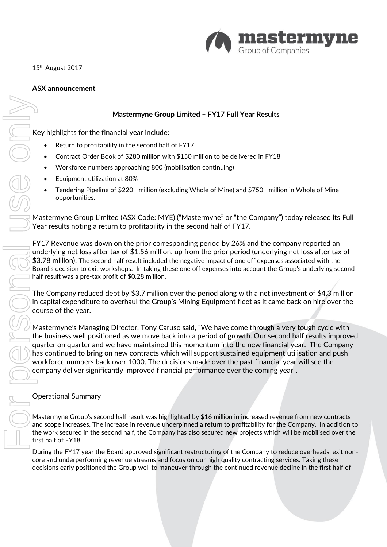

15<sup>th</sup> August 2017

# **ASX announcement**

# **Mastermyne Group Limited – FY17 Full Year Results**

Key highlights for the financial year include:

- Return to profitability in the second half of FY17
- Contract Order Book of \$280 million with \$150 million to be delivered in FY18
- Workforce numbers approaching 800 (mobilisation continuing)
- Equipment utilization at 80%
- Tendering Pipeline of \$220+ million (excluding Whole of Mine) and \$750+ million in Whole of Mine opportunities.

Mastermyne Group Limited (ASX Code: MYE) ("Mastermyne" or "the Company") today released its Full Year results noting a return to profitability in the second half of FY17.

FY17 Revenue was down on the prior corresponding period by 26% and the company reported an underlying net loss after tax of \$1.56 million, up from the prior period (underlying net loss after tax of \$3.78 million). The second half result included the negative impact of one off expenses associated with the Board's decision to exit workshops. In taking these one off expenses into account the Group's underlying second half result was a pre-tax profit of \$0.28 million.

The Company reduced debt by \$3.7 million over the period along with a net investment of \$4.3 million in capital expenditure to overhaul the Group's Mining Equipment fleet as it came back on hire over the course of the year.

Mastermyne's Managing Director, Tony Caruso said, "We have come through a very tough cycle with the business well positioned as we move back into a period of growth. Our second half results improved quarter on quarter and we have maintained this momentum into the new financial year. The Company has continued to bring on new contracts which will support sustained equipment utilisation and push workforce numbers back over 1000. The decisions made over the past financial year will see the company deliver significantly improved financial performance over the coming year". Masternnyie Group Limited - FY17 Full Year Results<br>
Extern to profitability in the second half of FY17<br>
Contract Order Book of S200 million with \$150 million to be delivered in FY18<br>
Continued Continue of S200 million with

## Operational Summary

Mastermyne Group's second half result was highlighted by \$16 million in increased revenue from new contracts and scope increases. The increase in revenue underpinned a return to profitability for the Company. In addition to the work secured in the second half, the Company has also secured new projects which will be mobilised over the first half of FY18.

During the FY17 year the Board approved significant restructuring of the Company to reduce overheads, exit noncore and underperforming revenue streams and focus on our high quality contracting services. Taking these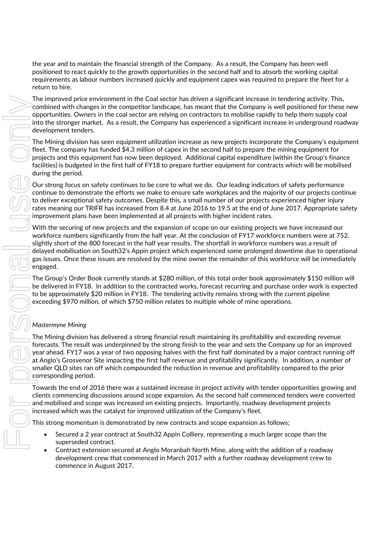the year and to maintain the financial strength of the Company. As a result, the Company has been well positioned to react quickly to the growth opportunities in the second half and to absorb the working capital requirements as labour numbers increased quickly and equipment capex was required to prepare the fleet for a return to hire.

The improved price environment in the Coal sector has driven a significant increase in tendering activity. This, combined with changes in the competitor landscape, has meant that the Company is well positioned for these new opportunities. Owners in the coal sector are relying on contractors to mobilise rapidly to help them supply coal into the stronger market. As a result, the Company has experienced a significant increase in underground roadway development tenders.

The Mining division has seen equipment utilization increase as new projects incorporate the Company's equipment fleet. The company has funded \$4.3 million of capex in the second half to prepare the mining equipment for projects and this equipment has now been deployed. Additional capital expenditure (within the Group's finance facilities) is budgeted in the first half of FY18 to prepare further equipment for contracts which will be mobilised during the period.

Our strong focus on safety continues to be core to what we do. Our leading indicators of safety performance continue to demonstrate the efforts we make to ensure safe workplaces and the majority of our projects continue to deliver exceptional safety outcomes. Despite this, a small number of our projects experienced higher injury rates meaning our TRIFR has increased from 8.4 at June 2016 to 19.5 at the end of June 2017. Appropriate safety improvement plans have been implemented at all projects with higher incident rates.

With the securing of new projects and the expansion of scope on our existing projects we have increased our workforce numbers significantly from the half year. At the conclusion of FY17 workforce numbers were at 752, slightly short of the 800 forecast in the half year results. The shortfall in workforce numbers was a result of delayed mobilisation on South32's Appin project which experienced some prolonged downtime due to operational gas issues. Once these issues are resolved by the mine owner the remainder of this workforce will be immediately engaged.

The Group's Order Book currently stands at \$280 million, of this total order book approximately \$150 million will be delivered in FY18. In addition to the contracted works, forecast recurring and purchase order work is expected to be approximately \$20 million in FY18. The tendering activity remains strong with the current pipeline exceeding \$970 million, of which \$750 million relates to multiple whole of mine operations.

# *Mastermyne Mining*

The Mining division has delivered a strong financial result maintaining its profitability and exceeding revenue forecasts. The result was underpinned by the strong finish to the year and sets the Company up for an improved year ahead. FY17 was a year of two opposing halves with the first half dominated by a major contract running off at Anglo's Grosvenor Site impacting the first half revenue and profitability significantly. In addition, a number of smaller QLD sites ran off which compounded the reduction in revenue and profitability compared to the prior corresponding period.

Towards the end of 2016 there was a sustained increase in project activity with tender opportunities growing and clients commencing discussions around scope expansion. As the second half commenced tenders were converted and mobilised and scope was increased on existing projects. Importantly, roadway development projects increased which was the catalyst for improved utilization of the Company's fleet.

This strong momentum is demonstrated by new contracts and scope expansion as follows;

- Secured a 2 year contract at South32 Appin Colliery, representing a much larger scope than the superseded contract.
- Contract extension secured at Anglo Moranbah North Mine, along with the addition of a roadway development crew that commenced in March 2017 with a further roadway development crew to commence in August 2017.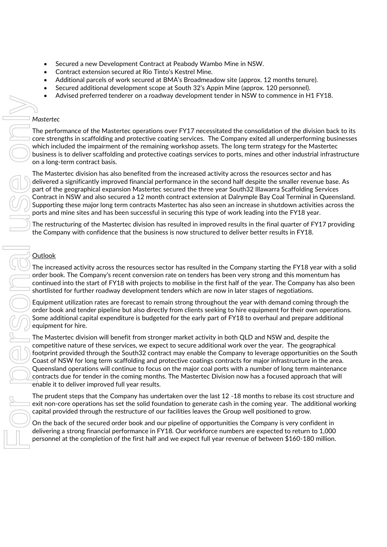- Secured a new Development Contract at Peabody Wambo Mine in NSW.
- Contract extension secured at Rio Tinto's Kestrel Mine.
- Additional parcels of work secured at BMA's Broadmeadow site (approx. 12 months tenure).
- Secured additional development scope at South 32's Appin Mine (approx. 120 personnel).
- Advised preferred tenderer on a roadway development tender in NSW to commence in H1 FY18.

#### *Mastertec*

The performance of the Mastertec operations over FY17 necessitated the consolidation of the division back to its core strengths in scaffolding and protective coating services. The Company exited all underperforming businesses which included the impairment of the remaining workshop assets. The long term strategy for the Mastertec business is to deliver scaffolding and protective coatings services to ports, mines and other industrial infrastructure on a long-term contract basis.

The Mastertec division has also benefited from the increased activity across the resources sector and has delivered a significantly improved financial performance in the second half despite the smaller revenue base. As part of the geographical expansion Mastertec secured the three year South32 Illawarra Scaffolding Services Contract in NSW and also secured a 12 month contract extension at Dalrymple Bay Coal Terminal in Queensland. Supporting these major long term contracts Mastertec has also seen an increase in shutdown activities across the ports and mine sites and has been successful in securing this type of work leading into the FY18 year.

The restructuring of the Mastertec division has resulted in improved results in the final quarter of FY17 providing the Company with confidence that the business is now structured to deliver better results in FY18.

### **Outlook**

The increased activity across the resources sector has resulted in the Company starting the FY18 year with a solid order book. The Company's recent conversion rate on tenders has been very strong and this momentum has continued into the start of FY18 with projects to mobilise in the first half of the year. The Company has also been shortlisted for further roadway development tenders which are now in later stages of negotiations.

Equipment utilization rates are forecast to remain strong throughout the year with demand coming through the order book and tender pipeline but also directly from clients seeking to hire equipment for their own operations. Some additional capital expenditure is budgeted for the early part of FY18 to overhaul and prepare additional equipment for hire.

The Mastertec division will benefit from stronger market activity in both QLD and NSW and, despite the competitive nature of these services, we expect to secure additional work over the year. The geographical footprint provided through the South32 contract may enable the Company to leverage opportunities on the South Coast of NSW for long term scaffolding and protective coatings contracts for major infrastructure in the area. Queensland operations will continue to focus on the major coal ports with a number of long term maintenance contracts due for tender in the coming months. The Mastertec Division now has a focused approach that will enable it to deliver improved full year results. Meteric consideration of the Material consideration over FY17 mecassitated the consideration of the division had<br>not provide the performance of the Material considerations over FY17 mecassitated the consideration of the di

The prudent steps that the Company has undertaken over the last 12 -18 months to rebase its cost structure and exit non-core operations has set the solid foundation to generate cash in the coming year. The additional working capital provided through the restructure of our facilities leaves the Group well positioned to grow.

On the back of the secured order book and our pipeline of opportunities the Company is very confident in